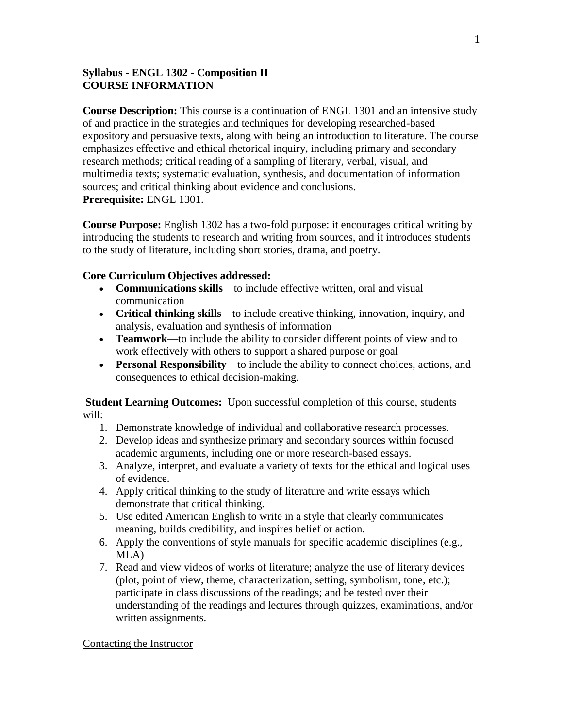### **Syllabus - ENGL 1302 - Composition II COURSE INFORMATION**

**Course Description:** This course is a continuation of ENGL 1301 and an intensive study of and practice in the strategies and techniques for developing researched-based expository and persuasive texts, along with being an introduction to literature. The course emphasizes effective and ethical rhetorical inquiry, including primary and secondary research methods; critical reading of a sampling of literary, verbal, visual, and multimedia texts; systematic evaluation, synthesis, and documentation of information sources; and critical thinking about evidence and conclusions. **Prerequisite:** ENGL 1301.

**Course Purpose:** English 1302 has a two-fold purpose: it encourages critical writing by introducing the students to research and writing from sources, and it introduces students to the study of literature, including short stories, drama, and poetry.

### **Core Curriculum Objectives addressed:**

- **Communications skills**—to include effective written, oral and visual communication
- **Critical thinking skills**—to include creative thinking, innovation, inquiry, and analysis, evaluation and synthesis of information
- **Teamwork**—to include the ability to consider different points of view and to work effectively with others to support a shared purpose or goal
- **Personal Responsibility**—to include the ability to connect choices, actions, and consequences to ethical decision-making.

**Student Learning Outcomes:** Upon successful completion of this course, students will:

- 1. Demonstrate knowledge of individual and collaborative research processes.
- 2. Develop ideas and synthesize primary and secondary sources within focused academic arguments, including one or more research-based essays.
- 3. Analyze, interpret, and evaluate a variety of texts for the ethical and logical uses of evidence.
- 4. Apply critical thinking to the study of literature and write essays which demonstrate that critical thinking.
- 5. Use edited American English to write in a style that clearly communicates meaning, builds credibility, and inspires belief or action.
- 6. Apply the conventions of style manuals for specific academic disciplines (e.g., MLA)
- 7. Read and view videos of works of literature; analyze the use of literary devices (plot, point of view, theme, characterization, setting, symbolism, tone, etc.); participate in class discussions of the readings; and be tested over their understanding of the readings and lectures through quizzes, examinations, and/or written assignments.

### Contacting the Instructor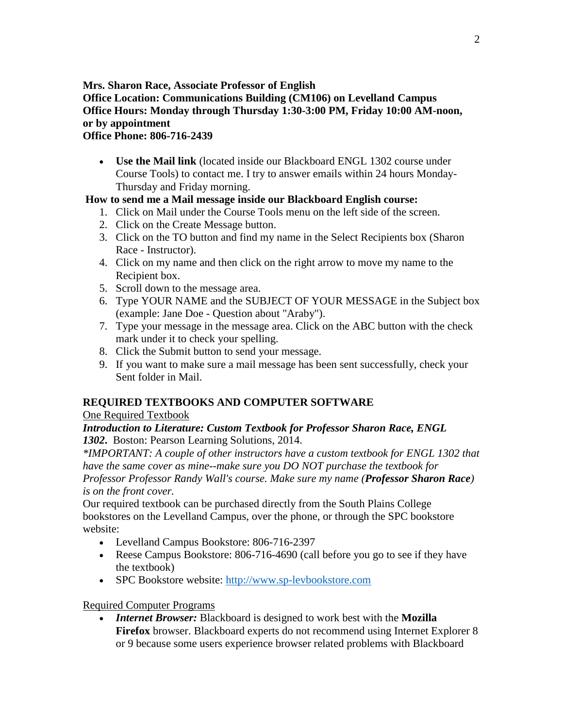**Mrs. Sharon Race, Associate Professor of English**

## **Office Location: Communications Building (CM106) on Levelland Campus Office Hours: Monday through Thursday 1:30-3:00 PM, Friday 10:00 AM-noon, or by appointment**

## **Office Phone: 806-716-2439**

 **Use the Mail link** (located inside our Blackboard ENGL 1302 course under Course Tools) to contact me. I try to answer emails within 24 hours Monday-Thursday and Friday morning.

## **How to send me a Mail message inside our Blackboard English course:**

- 1. Click on Mail under the Course Tools menu on the left side of the screen.
- 2. Click on the Create Message button.
- 3. Click on the TO button and find my name in the Select Recipients box (Sharon Race - Instructor).
- 4. Click on my name and then click on the right arrow to move my name to the Recipient box.
- 5. Scroll down to the message area.
- 6. Type YOUR NAME and the SUBJECT OF YOUR MESSAGE in the Subject box (example: Jane Doe - Question about "Araby").
- 7. Type your message in the message area. Click on the ABC button with the check mark under it to check your spelling.
- 8. Click the Submit button to send your message.
- 9. If you want to make sure a mail message has been sent successfully, check your Sent folder in Mail.

# **REQUIRED TEXTBOOKS AND COMPUTER SOFTWARE**

# One Required Textbook

## *Introduction to Literature: Custom Textbook for Professor Sharon Race, ENGL 1302***.** Boston: Pearson Learning Solutions, 2014.

*\*IMPORTANT: A couple of other instructors have a custom textbook for ENGL 1302 that have the same cover as mine--make sure you DO NOT purchase the textbook for Professor Professor Randy Wall's course. Make sure my name (Professor Sharon Race) is on the front cover.*

Our required textbook can be purchased directly from the South Plains College bookstores on the Levelland Campus, over the phone, or through the SPC bookstore website:

- Levelland Campus Bookstore: 806-716-2397
- Reese Campus Bookstore: 806-716-4690 (call before you go to see if they have the textbook)
- SPC Bookstore website: [http://www.sp-levbookstore.com](http://www.sp-levbookstore.com/)

# Required Computer Programs

 *Internet Browser:* Blackboard is designed to work best with the **Mozilla Firefox** browser. Blackboard experts do not recommend using Internet Explorer 8 or 9 because some users experience browser related problems with Blackboard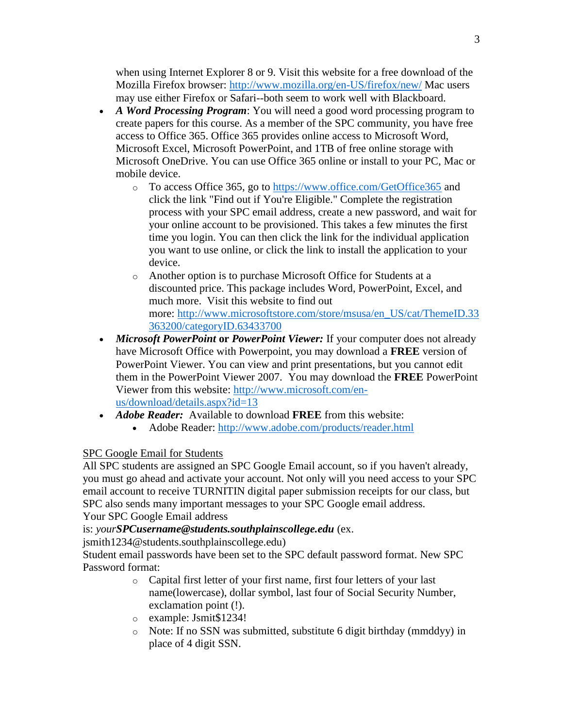when using Internet Explorer 8 or 9. Visit this website for a free download of the Mozilla Firefox browser: <http://www.mozilla.org/en-US/firefox/new/> Mac users may use either Firefox or Safari--both seem to work well with Blackboard.

- *A Word Processing Program*: You will need a good word processing program to create papers for this course. As a member of the SPC community, you have free access to Office 365. Office 365 provides online access to Microsoft Word, Microsoft Excel, Microsoft PowerPoint, and 1TB of free online storage with Microsoft OneDrive. You can use Office 365 online or install to your PC, Mac or mobile device.
	- o To access Office 365, go to <https://www.office.com/GetOffice365> and click the link "Find out if You're Eligible." Complete the registration process with your SPC email address, create a new password, and wait for your online account to be provisioned. This takes a few minutes the first time you login. You can then click the link for the individual application you want to use online, or click the link to install the application to your device.
	- o Another option is to purchase Microsoft Office for Students at a discounted price. This package includes Word, PowerPoint, Excel, and much more. Visit this website to find out more: [http://www.microsoftstore.com/store/msusa/en\\_US/cat/ThemeID.33](http://www.microsoftstore.com/store/msusa/en_US/cat/ThemeID.33363200/categoryID.63433700) [363200/categoryID.63433700](http://www.microsoftstore.com/store/msusa/en_US/cat/ThemeID.33363200/categoryID.63433700)
- *Microsoft PowerPoint* **or** *PowerPoint Viewer:* If your computer does not already have Microsoft Office with Powerpoint, you may download a **FREE** version of PowerPoint Viewer. You can view and print presentations, but you cannot edit them in the PowerPoint Viewer 2007. You may download the **FREE** PowerPoint Viewer from this website: [http://www.microsoft.com/en](http://www.microsoft.com/en-us/download/details.aspx?id=13)[us/download/details.aspx?id=13](http://www.microsoft.com/en-us/download/details.aspx?id=13)
- *Adobe Reader:* Available to download **FREE** from this website:
	- Adobe Reader: <http://www.adobe.com/products/reader.html>

## SPC Google Email for Students

All SPC students are assigned an SPC Google Email account, so if you haven't already, you must go ahead and activate your account. Not only will you need access to your SPC email account to receive TURNITIN digital paper submission receipts for our class, but SPC also sends many important messages to your SPC Google email address.

Your SPC Google Email address

is: *yourSPCusername@students.southplainscollege.edu* (ex.

jsmith1234@students.southplainscollege.edu)

Student email passwords have been set to the SPC default password format. New SPC Password format:

- o Capital first letter of your first name, first four letters of your last name(lowercase), dollar symbol, last four of Social Security Number, exclamation point (!).
- o example: Jsmit\$1234!
- o Note: If no SSN was submitted, substitute 6 digit birthday (mmddyy) in place of 4 digit SSN.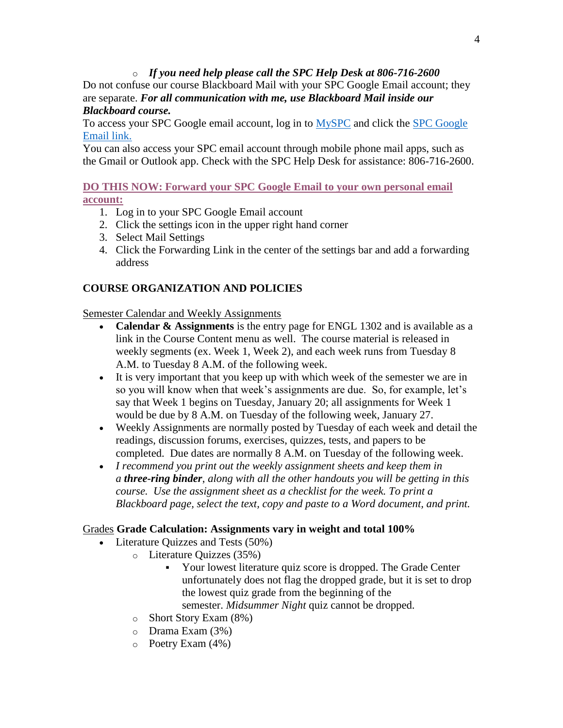### o *If you need help please call the SPC Help Desk at 806-716-2600*

Do not confuse our course Blackboard Mail with your SPC Google Email account; they are separate. *For all communication with me, use Blackboard Mail inside our Blackboard course.*

To access your SPC Google email account, log in to [MySPC](https://myspc.southplainscollege.edu/) and click the [SPC Google](http://mail.students.southplainscollege.edu/)  [Email link.](http://mail.students.southplainscollege.edu/)

You can also access your SPC email account through mobile phone mail apps, such as the Gmail or Outlook app. Check with the SPC Help Desk for assistance: 806-716-2600.

## **[DO THIS NOW: Forward your SPC Google Email to your own personal email](https://myspc.southplainscollege.edu/ICS/)  [account:](https://myspc.southplainscollege.edu/ICS/)**

- 1. Log in to your SPC Google Email account
- 2. Click the settings icon in the upper right hand corner
- 3. Select Mail Settings
- 4. Click the Forwarding Link in the center of the settings bar and add a forwarding address

## **COURSE ORGANIZATION AND POLICIES**

Semester Calendar and Weekly Assignments

- **Calendar & Assignments** is the entry page for ENGL 1302 and is available as a link in the Course Content menu as well. The course material is released in weekly segments (ex. Week 1, Week 2), and each week runs from Tuesday 8 A.M. to Tuesday 8 A.M. of the following week.
- It is very important that you keep up with which week of the semester we are in so you will know when that week's assignments are due. So, for example, let's say that Week 1 begins on Tuesday, January 20; all assignments for Week 1 would be due by 8 A.M. on Tuesday of the following week, January 27.
- Weekly Assignments are normally posted by Tuesday of each week and detail the readings, discussion forums, exercises, quizzes, tests, and papers to be completed. Due dates are normally 8 A.M. on Tuesday of the following week.
- *I recommend you print out the weekly assignment sheets and keep them in a three-ring binder*, *along with all the other handouts you will be getting in this course. Use the assignment sheet as a checklist for the week. To print a Blackboard page, select the text, copy and paste to a Word document, and print.*

## Grades **Grade Calculation: Assignments vary in weight and total 100%**

- Literature Ouizzes and Tests (50%)
	- o Literature Quizzes (35%)
		- Your lowest literature quiz score is dropped. The Grade Center unfortunately does not flag the dropped grade, but it is set to drop the lowest quiz grade from the beginning of the semester. *Midsummer Night* quiz cannot be dropped.
		- o Short Story Exam (8%)
		- o Drama Exam (3%)
		- o Poetry Exam (4%)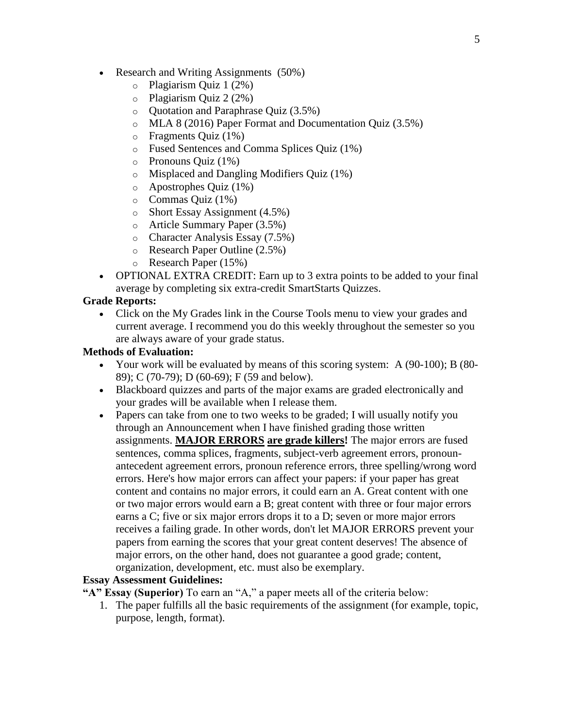- Research and Writing Assignments (50%)
	- o Plagiarism Quiz 1 (2%)
	- o Plagiarism Quiz 2 (2%)
	- o Quotation and Paraphrase Quiz (3.5%)
	- o MLA 8 (2016) Paper Format and Documentation Quiz (3.5%)
	- o Fragments Quiz (1%)
	- o Fused Sentences and Comma Splices Quiz (1%)
	- o Pronouns Quiz (1%)
	- o Misplaced and Dangling Modifiers Quiz (1%)
	- o Apostrophes Quiz (1%)
	- $\circ$  Commas Quiz (1%)
	- o Short Essay Assignment (4.5%)
	- o Article Summary Paper (3.5%)
	- o Character Analysis Essay (7.5%)
	- o Research Paper Outline (2.5%)
	- o Research Paper (15%)
- OPTIONAL EXTRA CREDIT: Earn up to 3 extra points to be added to your final average by completing six extra-credit SmartStarts Quizzes.

#### **Grade Reports:**

• Click on the My Grades link in the Course Tools menu to view your grades and current average. I recommend you do this weekly throughout the semester so you are always aware of your grade status.

#### **Methods of Evaluation:**

- Your work will be evaluated by means of this scoring system: A (90-100); B (80- 89); C (70-79); D (60-69); F (59 and below).
- Blackboard quizzes and parts of the major exams are graded electronically and your grades will be available when I release them.
- Papers can take from one to two weeks to be graded; I will usually notify you through an Announcement when I have finished grading those written assignments. **MAJOR ERRORS are grade killers!** The major errors are fused sentences, comma splices, fragments, subject-verb agreement errors, pronounantecedent agreement errors, pronoun reference errors, three spelling/wrong word errors. Here's how major errors can affect your papers: if your paper has great content and contains no major errors, it could earn an A. Great content with one or two major errors would earn a B; great content with three or four major errors earns a C; five or six major errors drops it to a D; seven or more major errors receives a failing grade. In other words, don't let MAJOR ERRORS prevent your papers from earning the scores that your great content deserves! The absence of major errors, on the other hand, does not guarantee a good grade; content, organization, development, etc. must also be exemplary.

#### **Essay Assessment Guidelines:**

**"A" Essay (Superior)** To earn an "A," a paper meets all of the criteria below:

1. The paper fulfills all the basic requirements of the assignment (for example, topic, purpose, length, format).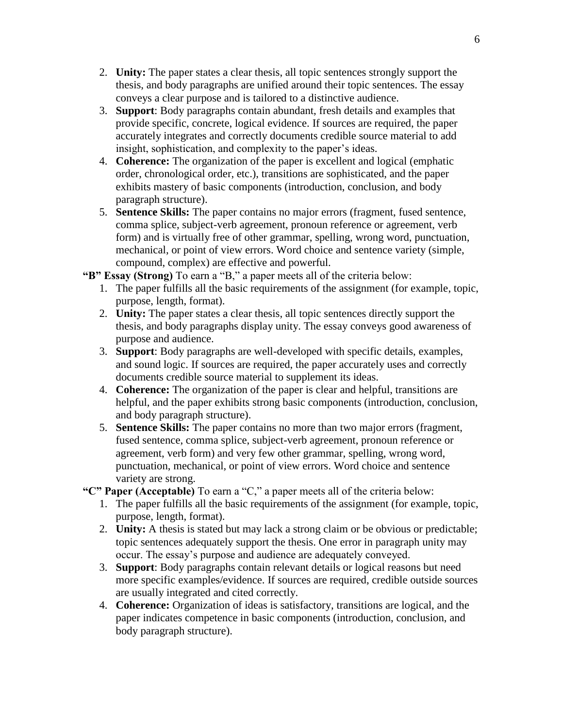- 2. **Unity:** The paper states a clear thesis, all topic sentences strongly support the thesis, and body paragraphs are unified around their topic sentences. The essay conveys a clear purpose and is tailored to a distinctive audience.
- 3. **Support**: Body paragraphs contain abundant, fresh details and examples that provide specific, concrete, logical evidence. If sources are required, the paper accurately integrates and correctly documents credible source material to add insight, sophistication, and complexity to the paper's ideas.
- 4. **Coherence:** The organization of the paper is excellent and logical (emphatic order, chronological order, etc.), transitions are sophisticated, and the paper exhibits mastery of basic components (introduction, conclusion, and body paragraph structure).
- 5. **Sentence Skills:** The paper contains no major errors (fragment, fused sentence, comma splice, subject-verb agreement, pronoun reference or agreement, verb form) and is virtually free of other grammar, spelling, wrong word, punctuation, mechanical, or point of view errors. Word choice and sentence variety (simple, compound, complex) are effective and powerful.

**"B" Essay (Strong)** To earn a "B," a paper meets all of the criteria below:

- 1. The paper fulfills all the basic requirements of the assignment (for example, topic, purpose, length, format).
- 2. **Unity:** The paper states a clear thesis, all topic sentences directly support the thesis, and body paragraphs display unity. The essay conveys good awareness of purpose and audience.
- 3. **Support**: Body paragraphs are well-developed with specific details, examples, and sound logic. If sources are required, the paper accurately uses and correctly documents credible source material to supplement its ideas.
- 4. **Coherence:** The organization of the paper is clear and helpful, transitions are helpful, and the paper exhibits strong basic components (introduction, conclusion, and body paragraph structure).
- 5. **Sentence Skills:** The paper contains no more than two major errors (fragment, fused sentence, comma splice, subject-verb agreement, pronoun reference or agreement, verb form) and very few other grammar, spelling, wrong word, punctuation, mechanical, or point of view errors. Word choice and sentence variety are strong.

**"C" Paper (Acceptable)** To earn a "C," a paper meets all of the criteria below:

- 1. The paper fulfills all the basic requirements of the assignment (for example, topic, purpose, length, format).
- 2. **Unity:** A thesis is stated but may lack a strong claim or be obvious or predictable; topic sentences adequately support the thesis. One error in paragraph unity may occur. The essay's purpose and audience are adequately conveyed.
- 3. **Support**: Body paragraphs contain relevant details or logical reasons but need more specific examples/evidence. If sources are required, credible outside sources are usually integrated and cited correctly.
- 4. **Coherence:** Organization of ideas is satisfactory, transitions are logical, and the paper indicates competence in basic components (introduction, conclusion, and body paragraph structure).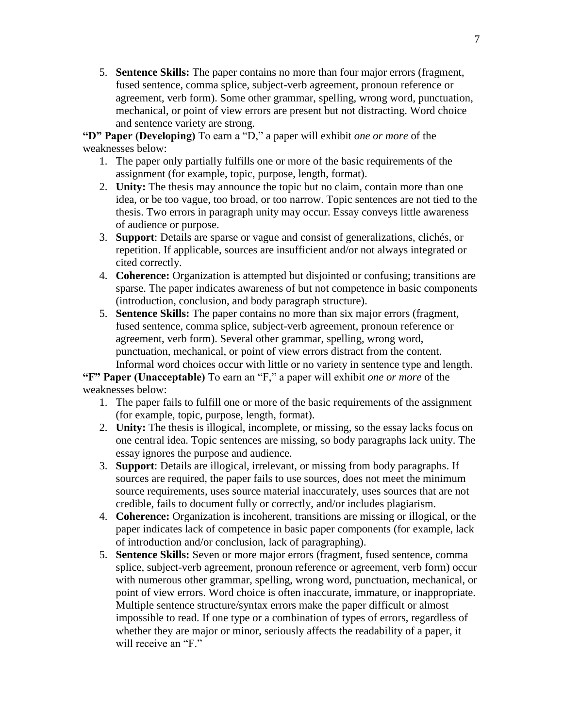5. **Sentence Skills:** The paper contains no more than four major errors (fragment, fused sentence, comma splice, subject-verb agreement, pronoun reference or agreement, verb form). Some other grammar, spelling, wrong word, punctuation, mechanical, or point of view errors are present but not distracting. Word choice and sentence variety are strong.

**"D" Paper (Developing)** To earn a "D," a paper will exhibit *one or more* of the weaknesses below:

- 1. The paper only partially fulfills one or more of the basic requirements of the assignment (for example, topic, purpose, length, format).
- 2. **Unity:** The thesis may announce the topic but no claim, contain more than one idea, or be too vague, too broad, or too narrow. Topic sentences are not tied to the thesis. Two errors in paragraph unity may occur. Essay conveys little awareness of audience or purpose.
- 3. **Support**: Details are sparse or vague and consist of generalizations, clichés, or repetition. If applicable, sources are insufficient and/or not always integrated or cited correctly.
- 4. **Coherence:** Organization is attempted but disjointed or confusing; transitions are sparse. The paper indicates awareness of but not competence in basic components (introduction, conclusion, and body paragraph structure).
- 5. **Sentence Skills:** The paper contains no more than six major errors (fragment, fused sentence, comma splice, subject-verb agreement, pronoun reference or agreement, verb form). Several other grammar, spelling, wrong word, punctuation, mechanical, or point of view errors distract from the content. Informal word choices occur with little or no variety in sentence type and length.

**"F" Paper (Unacceptable)** To earn an "F," a paper will exhibit *one or more* of the weaknesses below:

- 1. The paper fails to fulfill one or more of the basic requirements of the assignment (for example, topic, purpose, length, format).
- 2. **Unity:** The thesis is illogical, incomplete, or missing, so the essay lacks focus on one central idea. Topic sentences are missing, so body paragraphs lack unity. The essay ignores the purpose and audience.
- 3. **Support**: Details are illogical, irrelevant, or missing from body paragraphs. If sources are required, the paper fails to use sources, does not meet the minimum source requirements, uses source material inaccurately, uses sources that are not credible, fails to document fully or correctly, and/or includes plagiarism.
- 4. **Coherence:** Organization is incoherent, transitions are missing or illogical, or the paper indicates lack of competence in basic paper components (for example, lack of introduction and/or conclusion, lack of paragraphing).
- 5. **Sentence Skills:** Seven or more major errors (fragment, fused sentence, comma splice, subject-verb agreement, pronoun reference or agreement, verb form) occur with numerous other grammar, spelling, wrong word, punctuation, mechanical, or point of view errors. Word choice is often inaccurate, immature, or inappropriate. Multiple sentence structure/syntax errors make the paper difficult or almost impossible to read. If one type or a combination of types of errors, regardless of whether they are major or minor, seriously affects the readability of a paper, it will receive an "F"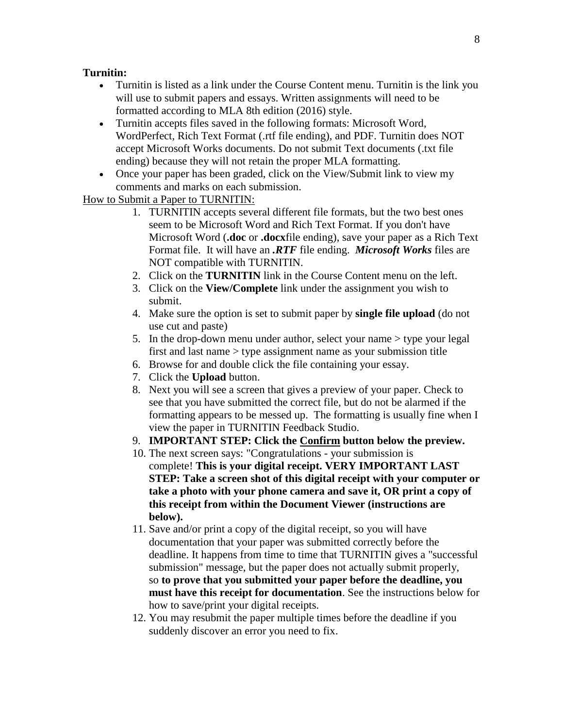#### **Turnitin:**

- Turnitin is listed as a link under the Course Content menu. Turnitin is the link you will use to submit papers and essays. Written assignments will need to be formatted according to MLA 8th edition (2016) style.
- Turnitin accepts files saved in the following formats: Microsoft Word, WordPerfect, Rich Text Format (.rtf file ending), and PDF. Turnitin does NOT accept Microsoft Works documents. Do not submit Text documents (.txt file ending) because they will not retain the proper MLA formatting.
- Once your paper has been graded, click on the View/Submit link to view my comments and marks on each submission.

### How to Submit a Paper to TURNITIN:

- 1. TURNITIN accepts several different file formats, but the two best ones seem to be Microsoft Word and Rich Text Format. If you don't have Microsoft Word (**.doc** or **.docx**file ending), save your paper as a Rich Text Format file. It will have an *.RTF* file ending. *Microsoft Works* files are NOT compatible with TURNITIN.
- 2. Click on the **TURNITIN** link in the Course Content menu on the left.
- 3. Click on the **View/Complete** link under the assignment you wish to submit.
- 4. Make sure the option is set to submit paper by **single file upload** (do not use cut and paste)
- 5. In the drop-down menu under author, select your name > type your legal first and last name > type assignment name as your submission title
- 6. Browse for and double click the file containing your essay.
- 7. Click the **Upload** button.
- 8. Next you will see a screen that gives a preview of your paper. Check to see that you have submitted the correct file, but do not be alarmed if the formatting appears to be messed up. The formatting is usually fine when I view the paper in TURNITIN Feedback Studio.
- 9. **IMPORTANT STEP: Click the Confirm button below the preview.**
- 10. The next screen says: "Congratulations your submission is complete! **This is your digital receipt. VERY IMPORTANT LAST STEP: Take a screen shot of this digital receipt with your computer or take a photo with your phone camera and save it, OR print a copy of this receipt from within the Document Viewer (instructions are below).**
- 11. Save and/or print a copy of the digital receipt, so you will have documentation that your paper was submitted correctly before the deadline. It happens from time to time that TURNITIN gives a "successful submission" message, but the paper does not actually submit properly, so **to prove that you submitted your paper before the deadline, you must have this receipt for documentation**. See the instructions below for how to save/print your digital receipts.
- 12. You may resubmit the paper multiple times before the deadline if you suddenly discover an error you need to fix.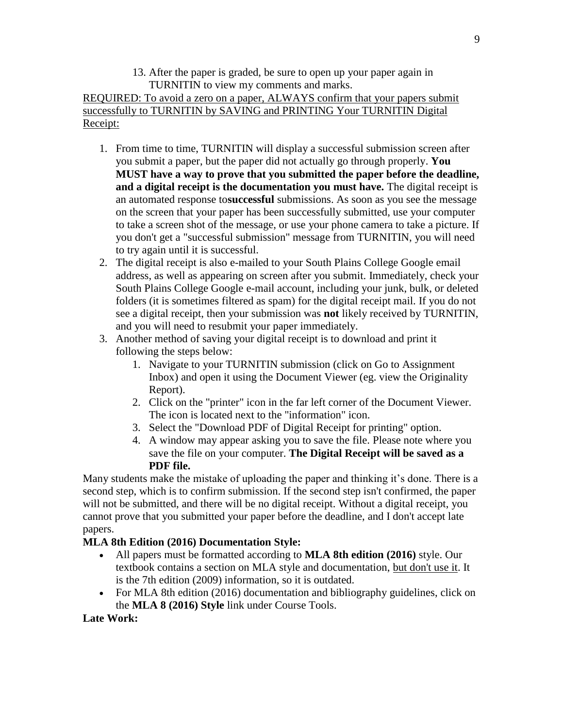13. After the paper is graded, be sure to open up your paper again in TURNITIN to view my comments and marks.

REQUIRED: To avoid a zero on a paper, ALWAYS confirm that your papers submit successfully to TURNITIN by SAVING and PRINTING Your TURNITIN Digital Receipt:

- 1. From time to time, TURNITIN will display a successful submission screen after you submit a paper, but the paper did not actually go through properly. **You MUST have a way to prove that you submitted the paper before the deadline, and a digital receipt is the documentation you must have.** The digital receipt is an automated response to**successful** submissions. As soon as you see the message on the screen that your paper has been successfully submitted, use your computer to take a screen shot of the message, or use your phone camera to take a picture. If you don't get a "successful submission" message from TURNITIN, you will need to try again until it is successful.
- 2. The digital receipt is also e-mailed to your South Plains College Google email address, as well as appearing on screen after you submit. Immediately, check your South Plains College Google e-mail account, including your junk, bulk, or deleted folders (it is sometimes filtered as spam) for the digital receipt mail. If you do not see a digital receipt, then your submission was **not** likely received by TURNITIN, and you will need to resubmit your paper immediately.
- 3. Another method of saving your digital receipt is to download and print it following the steps below:
	- 1. Navigate to your TURNITIN submission (click on Go to Assignment Inbox) and open it using the Document Viewer (eg. view the Originality Report).
	- 2. Click on the "printer" icon in the far left corner of the Document Viewer. The icon is located next to the "information" icon.
	- 3. Select the "Download PDF of Digital Receipt for printing" option.
	- 4. A window may appear asking you to save the file. Please note where you save the file on your computer. **The Digital Receipt will be saved as a PDF file.**

Many students make the mistake of uploading the paper and thinking it's done. There is a second step, which is to confirm submission. If the second step isn't confirmed, the paper will not be submitted, and there will be no digital receipt. Without a digital receipt, you cannot prove that you submitted your paper before the deadline, and I don't accept late papers.

## **MLA 8th Edition (2016) Documentation Style:**

- All papers must be formatted according to **MLA 8th edition (2016)** style. Our textbook contains a section on MLA style and documentation, but don't use it. It is the 7th edition (2009) information, so it is outdated.
- For MLA 8th edition (2016) documentation and bibliography guidelines, click on the **MLA 8 (2016) Style** link under Course Tools.

## **Late Work:**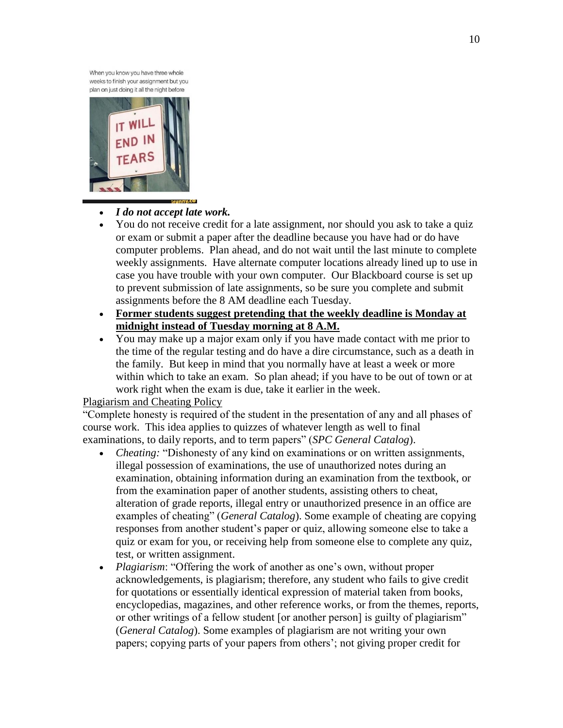When you know you have three whole weeks to finish your assignment but you plan on just doing it all the night before



### *I do not accept late work.*

- You do not receive credit for a late assignment, nor should you ask to take a quiz or exam or submit a paper after the deadline because you have had or do have computer problems. Plan ahead, and do not wait until the last minute to complete weekly assignments. Have alternate computer locations already lined up to use in case you have trouble with your own computer. Our Blackboard course is set up to prevent submission of late assignments, so be sure you complete and submit assignments before the 8 AM deadline each Tuesday.
- **Former students suggest pretending that the weekly deadline is Monday at midnight instead of Tuesday morning at 8 A.M.**
- You may make up a major exam only if you have made contact with me prior to the time of the regular testing and do have a dire circumstance, such as a death in the family. But keep in mind that you normally have at least a week or more within which to take an exam. So plan ahead; if you have to be out of town or at work right when the exam is due, take it earlier in the week.

### Plagiarism and Cheating Policy

"Complete honesty is required of the student in the presentation of any and all phases of course work. This idea applies to quizzes of whatever length as well to final examinations, to daily reports, and to term papers" (*SPC General Catalog*).

- *Cheating:* "Dishonesty of any kind on examinations or on written assignments, illegal possession of examinations, the use of unauthorized notes during an examination, obtaining information during an examination from the textbook, or from the examination paper of another students, assisting others to cheat, alteration of grade reports, illegal entry or unauthorized presence in an office are examples of cheating" (*General Catalog*). Some example of cheating are copying responses from another student's paper or quiz, allowing someone else to take a quiz or exam for you, or receiving help from someone else to complete any quiz, test, or written assignment.
- *Plagiarism*: "Offering the work of another as one's own, without proper acknowledgements, is plagiarism; therefore, any student who fails to give credit for quotations or essentially identical expression of material taken from books, encyclopedias, magazines, and other reference works, or from the themes, reports, or other writings of a fellow student [or another person] is guilty of plagiarism" (*General Catalog*). Some examples of plagiarism are not writing your own papers; copying parts of your papers from others'; not giving proper credit for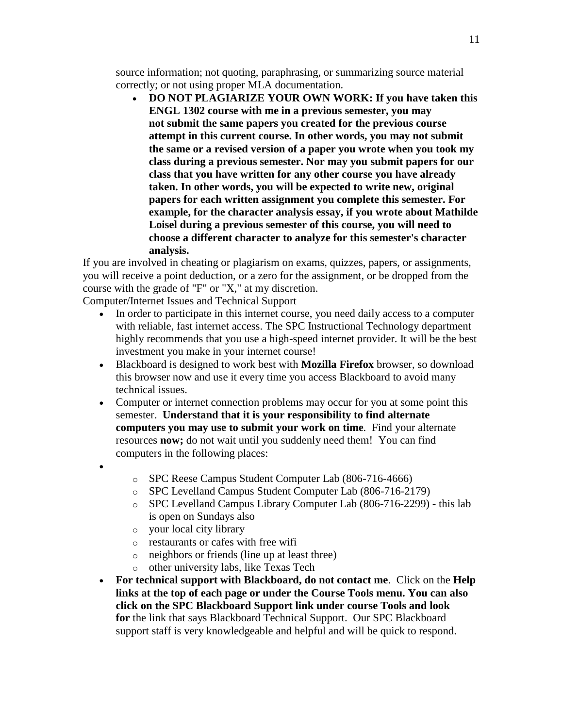source information; not quoting, paraphrasing, or summarizing source material correctly; or not using proper MLA documentation.

 **DO NOT PLAGIARIZE YOUR OWN WORK: If you have taken this ENGL 1302 course with me in a previous semester, you may not submit the same papers you created for the previous course attempt in this current course. In other words, you may not submit the same or a revised version of a paper you wrote when you took my class during a previous semester. Nor may you submit papers for our class that you have written for any other course you have already taken. In other words, you will be expected to write new, original papers for each written assignment you complete this semester. For example, for the character analysis essay, if you wrote about Mathilde Loisel during a previous semester of this course, you will need to choose a different character to analyze for this semester's character analysis.**

If you are involved in cheating or plagiarism on exams, quizzes, papers, or assignments, you will receive a point deduction, or a zero for the assignment, or be dropped from the course with the grade of "F" or "X," at my discretion.

Computer/Internet Issues and Technical Support

- In order to participate in this internet course, you need daily access to a computer with reliable, fast internet access. The SPC Instructional Technology department highly recommends that you use a high-speed internet provider. It will be the best investment you make in your internet course!
- Blackboard is designed to work best with **Mozilla Firefox** browser, so download this browser now and use it every time you access Blackboard to avoid many technical issues.
- Computer or internet connection problems may occur for you at some point this semester. **Understand that it is your responsibility to find alternate computers you may use to submit your work on time***.* Find your alternate resources **now;** do not wait until you suddenly need them! You can find computers in the following places:
- $\bullet$
- o SPC Reese Campus Student Computer Lab (806-716-4666)
- o SPC Levelland Campus Student Computer Lab (806-716-2179)
- o SPC Levelland Campus Library Computer Lab (806-716-2299) this lab is open on Sundays also
- o your local city library
- o restaurants or cafes with free wifi
- o neighbors or friends (line up at least three)
- o other university labs, like Texas Tech
- **For technical support with Blackboard, do not contact me**. Click on the **Help links at the top of each page or under the Course Tools menu. You can also click on the SPC Blackboard Support link under course Tools and look for** the link that says Blackboard Technical Support. Our SPC Blackboard support staff is very knowledgeable and helpful and will be quick to respond.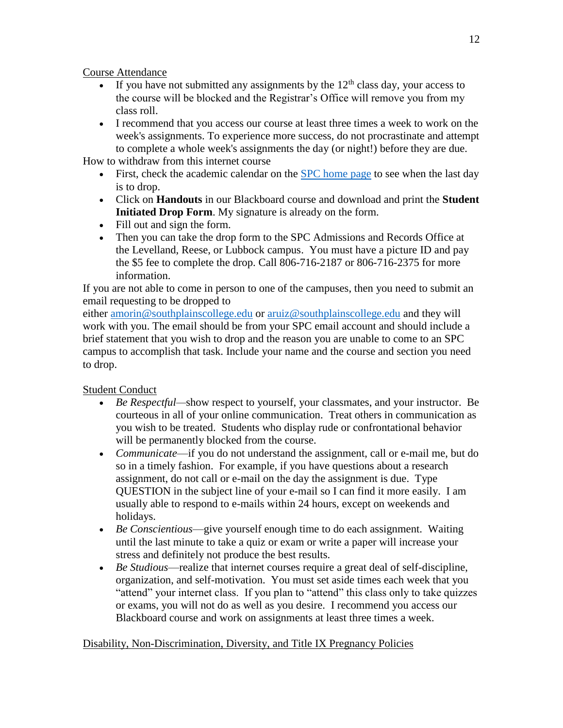Course Attendance

- If you have not submitted any assignments by the  $12<sup>th</sup>$  class day, your access to the course will be blocked and the Registrar's Office will remove you from my class roll.
- I recommend that you access our course at least three times a week to work on the week's assignments. To experience more success, do not procrastinate and attempt to complete a whole week's assignments the day (or night!) before they are due.

How to withdraw from this internet course

- First, check the academic calendar on the [SPC home page](http://www.southplainscollege.edu/) to see when the last day is to drop.
- Click on **Handouts** in our Blackboard course and download and print the **Student Initiated Drop Form**. My signature is already on the form.
- Fill out and sign the form.
- Then you can take the drop form to the SPC Admissions and Records Office at the Levelland, Reese, or Lubbock campus. You must have a picture ID and pay the \$5 fee to complete the drop. Call 806-716-2187 or 806-716-2375 for more information.

If you are not able to come in person to one of the campuses, then you need to submit an email requesting to be dropped to

either [amorin@southplainscollege.edu](mailto:amorin@southplainscollege.edu) or [aruiz@southplainscollege.edu](mailto:aruiz@southplianscollege.edu) and they will work with you. The email should be from your SPC email account and should include a brief statement that you wish to drop and the reason you are unable to come to an SPC campus to accomplish that task. Include your name and the course and section you need to drop.

Student Conduct

- *Be Respectful—*show respect to yourself, your classmates, and your instructor. Be courteous in all of your online communication. Treat others in communication as you wish to be treated. Students who display rude or confrontational behavior will be permanently blocked from the course.
- *Communicate*—if you do not understand the assignment, call or e-mail me, but do so in a timely fashion. For example, if you have questions about a research assignment, do not call or e-mail on the day the assignment is due. Type QUESTION in the subject line of your e-mail so I can find it more easily. I am usually able to respond to e-mails within 24 hours, except on weekends and holidays.
- *Be Conscientious*—give yourself enough time to do each assignment. Waiting until the last minute to take a quiz or exam or write a paper will increase your stress and definitely not produce the best results.
- *Be Studious*—realize that internet courses require a great deal of self-discipline, organization, and self-motivation. You must set aside times each week that you "attend" your internet class. If you plan to "attend" this class only to take quizzes or exams, you will not do as well as you desire. I recommend you access our Blackboard course and work on assignments at least three times a week.

## Disability, Non-Discrimination, Diversity, and Title IX Pregnancy Policies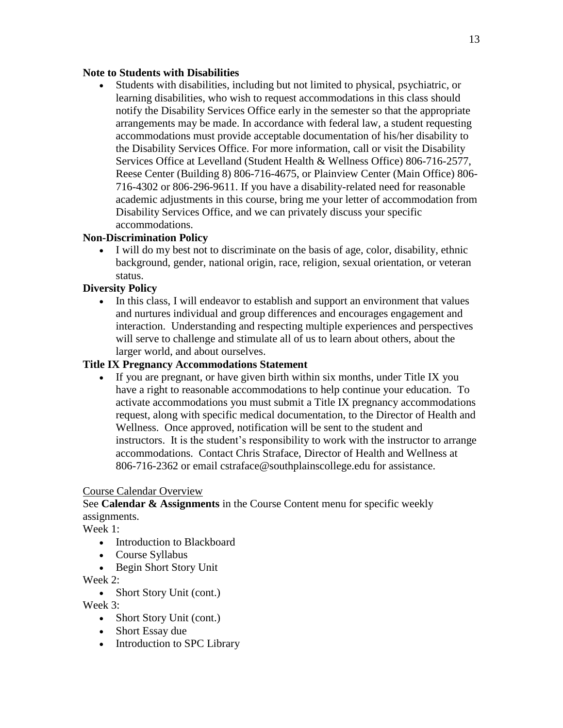### **Note to Students with Disabilities**

 Students with disabilities, including but not limited to physical, psychiatric, or learning disabilities, who wish to request accommodations in this class should notify the Disability Services Office early in the semester so that the appropriate arrangements may be made. In accordance with federal law, a student requesting accommodations must provide acceptable documentation of his/her disability to the Disability Services Office. For more information, call or visit the Disability Services Office at Levelland (Student Health & Wellness Office) 806-716-2577, Reese Center (Building 8) 806-716-4675, or Plainview Center (Main Office) 806- 716-4302 or 806-296-9611. If you have a disability-related need for reasonable academic adjustments in this course, bring me your letter of accommodation from Disability Services Office, and we can privately discuss your specific accommodations.

### **Non-Discrimination Policy**

 I will do my best not to discriminate on the basis of age, color, disability, ethnic background, gender, national origin, race, religion, sexual orientation, or veteran status.

### **Diversity Policy**

• In this class, I will endeavor to establish and support an environment that values and nurtures individual and group differences and encourages engagement and interaction. Understanding and respecting multiple experiences and perspectives will serve to challenge and stimulate all of us to learn about others, about the larger world, and about ourselves.

### **Title IX Pregnancy Accommodations Statement**

 If you are pregnant, or have given birth within six months, under Title IX you have a right to reasonable accommodations to help continue your education. To activate accommodations you must submit a Title IX pregnancy accommodations request, along with specific medical documentation, to the Director of Health and Wellness. Once approved, notification will be sent to the student and instructors. It is the student's responsibility to work with the instructor to arrange accommodations. Contact Chris Straface, Director of Health and Wellness at 806-716-2362 or email cstraface@southplainscollege.edu for assistance.

### Course Calendar Overview

## See **Calendar & Assignments** in the Course Content menu for specific weekly assignments.

Week 1:

- Introduction to Blackboard
- Course Syllabus
- Begin Short Story Unit

Week 2:

• Short Story Unit (cont.)

Week 3:

- Short Story Unit (cont.)
- Short Essay due
- Introduction to SPC Library